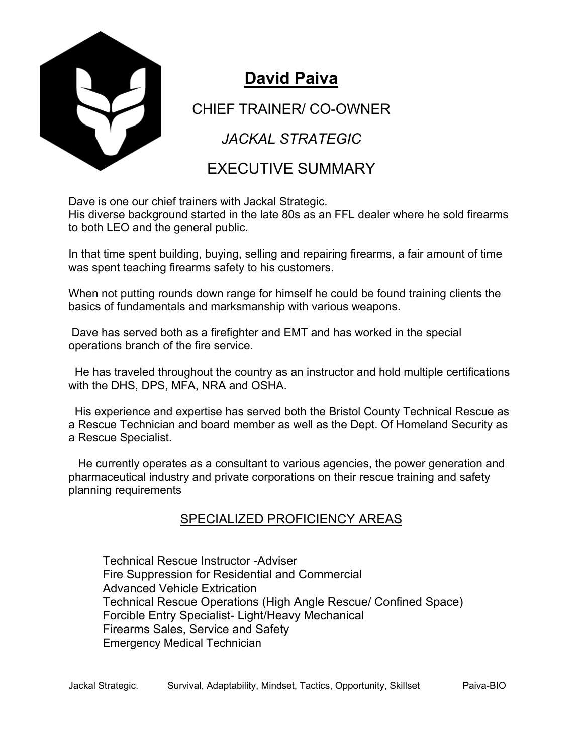

## **David Paiva**

CHIEF TRAINER/ CO-OWNER

*JACKAL STRATEGIC*

## EXECUTIVE SUMMARY

Dave is one our chief trainers with Jackal Strategic.

His diverse background started in the late 80s as an FFL dealer where he sold firearms to both LEO and the general public.

In that time spent building, buying, selling and repairing firearms, a fair amount of time was spent teaching firearms safety to his customers.

When not putting rounds down range for himself he could be found training clients the basics of fundamentals and marksmanship with various weapons.

Dave has served both as a firefighter and EMT and has worked in the special operations branch of the fire service.

He has traveled throughout the country as an instructor and hold multiple certifications with the DHS, DPS, MFA, NRA and OSHA.

His experience and expertise has served both the Bristol County Technical Rescue as a Rescue Technician and board member as well as the Dept. Of Homeland Security as a Rescue Specialist.

He currently operates as a consultant to various agencies, the power generation and pharmaceutical industry and private corporations on their rescue training and safety planning requirements

## SPECIALIZED PROFICIENCY AREAS

Technical Rescue Instructor -Adviser Fire Suppression for Residential and Commercial Advanced Vehicle Extrication Technical Rescue Operations (High Angle Rescue/ Confined Space) Forcible Entry Specialist- Light/Heavy Mechanical Firearms Sales, Service and Safety Emergency Medical Technician